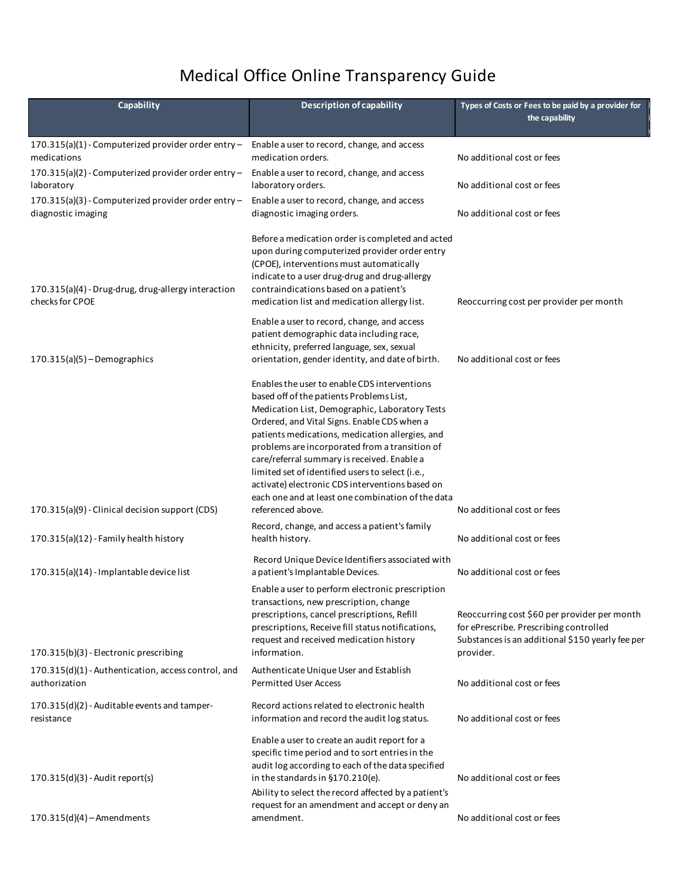## Medical Office Online Transparency Guide

**L**

**m**

| <b>Description of capability</b>                                                                                                                                                                                                                                                                                                                                                                                                                                                                          | Types of Costs or Fees to be paid by a provider for<br>the capability                                                      |
|-----------------------------------------------------------------------------------------------------------------------------------------------------------------------------------------------------------------------------------------------------------------------------------------------------------------------------------------------------------------------------------------------------------------------------------------------------------------------------------------------------------|----------------------------------------------------------------------------------------------------------------------------|
| Enable a user to record, change, and access<br>medication orders.                                                                                                                                                                                                                                                                                                                                                                                                                                         | No additional cost or fees                                                                                                 |
| Enable a user to record, change, and access<br>laboratory orders.                                                                                                                                                                                                                                                                                                                                                                                                                                         | No additional cost or fees                                                                                                 |
| Enable a user to record, change, and access<br>diagnostic imaging orders.                                                                                                                                                                                                                                                                                                                                                                                                                                 | No additional cost or fees                                                                                                 |
| Before a medication order is completed and acted<br>upon during computerized provider order entry<br>(CPOE), interventions must automatically<br>indicate to a user drug-drug and drug-allergy<br>contraindications based on a patient's<br>medication list and medication allergy list.                                                                                                                                                                                                                  | Reoccurring cost per provider per month                                                                                    |
| Enable a user to record, change, and access<br>patient demographic data including race,<br>ethnicity, preferred language, sex, sexual                                                                                                                                                                                                                                                                                                                                                                     | No additional cost or fees                                                                                                 |
| Enables the user to enable CDS interventions<br>based off of the patients Problems List,<br>Medication List, Demographic, Laboratory Tests<br>Ordered, and Vital Signs. Enable CDS when a<br>patients medications, medication allergies, and<br>problems are incorporated from a transition of<br>care/referral summary is received. Enable a<br>limited set of identified users to select (i.e.,<br>activate) electronic CDS interventions based on<br>each one and at least one combination of the data | No additional cost or fees                                                                                                 |
| Record, change, and access a patient's family<br>health history.                                                                                                                                                                                                                                                                                                                                                                                                                                          | No additional cost or fees                                                                                                 |
| Record Unique Device Identifiers associated with<br>a patient's Implantable Devices.<br>Enable a user to perform electronic prescription<br>transactions, new prescription, change<br>prescriptions, cancel prescriptions, Refill                                                                                                                                                                                                                                                                         | No additional cost or fees<br>Reoccurring cost \$60 per provider per month                                                 |
| request and received medication history<br>information.                                                                                                                                                                                                                                                                                                                                                                                                                                                   | for ePrescribe. Prescribing controlled<br>Substances is an additional \$150 yearly fee per<br>provider.                    |
| Authenticate Unique User and Establish<br><b>Permitted User Access</b>                                                                                                                                                                                                                                                                                                                                                                                                                                    | No additional cost or fees                                                                                                 |
| Record actions related to electronic health<br>information and record the audit log status.                                                                                                                                                                                                                                                                                                                                                                                                               | No additional cost or fees                                                                                                 |
| Enable a user to create an audit report for a<br>specific time period and to sort entries in the<br>audit log according to each of the data specified<br>in the standards in §170.210(e).<br>Ability to select the record affected by a patient's<br>request for an amendment and accept or deny an<br>amendment.                                                                                                                                                                                         | No additional cost or fees<br>No additional cost or fees                                                                   |
|                                                                                                                                                                                                                                                                                                                                                                                                                                                                                                           | orientation, gender identity, and date of birth.<br>referenced above.<br>prescriptions, Receive fill status notifications, |